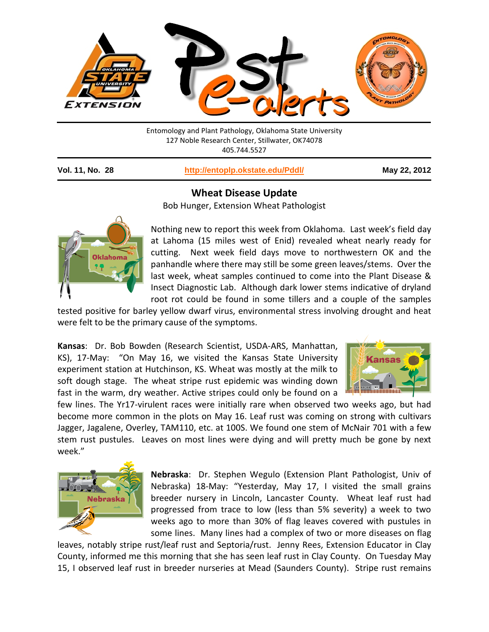

Entomology and Plant Pathology, Oklahoma State University 127 Noble Research Center, Stillwater, OK74078 405.744.5527

**Vol. 11, No. 28 <http://entoplp.okstate.edu/Pddl/> May 22, 2012**

## **Wheat Disease Update**

Bob Hunger, Extension Wheat Pathologist



Nothing new to report this week from Oklahoma. Last week's field day at Lahoma (15 miles west of Enid) revealed wheat nearly ready for cutting. Next week field days move to northwestern OK and the panhandle where there may still be some green leaves/stems. Over the last week, wheat samples continued to come into the Plant Disease & Insect Diagnostic Lab. Although dark lower stems indicative of dryland root rot could be found in some tillers and a couple of the samples

tested positive for barley yellow dwarf virus, environmental stress involving drought and heat were felt to be the primary cause of the symptoms.

**Kansas**: Dr. Bob Bowden (Research Scientist, USDA-ARS, Manhattan, KS), 17-May: "On May 16, we visited the Kansas State University experiment station at Hutchinson, KS. Wheat was mostly at the milk to soft dough stage. The wheat stripe rust epidemic was winding down fast in the warm, dry weather. Active stripes could only be found on a



few lines. The Yr17-virulent races were initially rare when observed two weeks ago, but had become more common in the plots on May 16. Leaf rust was coming on strong with cultivars Jagger, Jagalene, Overley, TAM110, etc. at 100S. We found one stem of McNair 701 with a few stem rust pustules. Leaves on most lines were dying and will pretty much be gone by next week."



**Nebraska**: Dr. Stephen Wegulo (Extension Plant Pathologist, Univ of Nebraska) 18-May: "Yesterday, May 17, I visited the small grains breeder nursery in Lincoln, Lancaster County. Wheat leaf rust had progressed from trace to low (less than 5% severity) a week to two weeks ago to more than 30% of flag leaves covered with pustules in some lines. Many lines had a complex of two or more diseases on flag

leaves, notably stripe rust/leaf rust and Septoria/rust. Jenny Rees, Extension Educator in Clay County, informed me this morning that she has seen leaf rust in Clay County. On Tuesday May 15, I observed leaf rust in breeder nurseries at Mead (Saunders County). Stripe rust remains